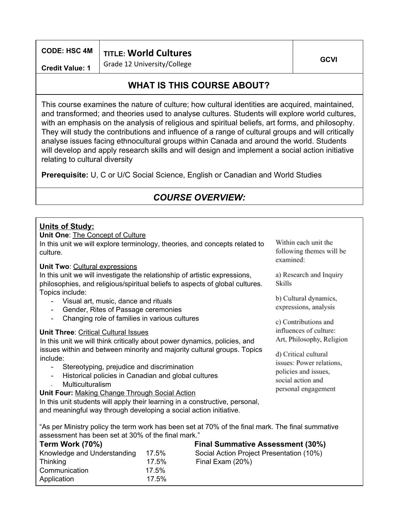|                        | CODE: HSC 4M   TITLE: World Cultures |      |
|------------------------|--------------------------------------|------|
| <b>Credit Value: 1</b> | Grade 12 University/College          | GCVI |

# **WHAT IS THIS COURSE ABOUT?**

This course examines the nature of culture; how cultural identities are acquired, maintained, and transformed; and theories used to analyse cultures. Students will explore world cultures, with an emphasis on the analysis of religious and spiritual beliefs, art forms, and philosophy. They will study the contributions and influence of a range of cultural groups and will critically analyse issues facing ethnocultural groups within Canada and around the world. Students will develop and apply research skills and will design and implement a social action initiative relating to cultural diversity

**Prerequisite:** U, C or U/C Social Science, English or Canadian and World Studies

### *COURSE OVERVIEW:*

Within each unit the following themes will be

a) Research and Inquiry

b) Cultural dynamics, expressions, analysis

c) Contributions and influences of culture: Art, Philosophy, Religion

d) Critical cultural issues: Power relations, policies and issues. social action and personal engagement

examined:

Skills

# **Units of Study:**

**Unit One**: The Concept of Culture In this unit we will explore terminology, theories, and concepts related to culture.

#### **Unit Two**: Cultural expressions

In this unit we will investigate the relationship of artistic expressions, philosophies, and religious/spiritual beliefs to aspects of global cultures. Topics include:

- Visual art, music, dance and rituals
- Gender, Rites of Passage ceremonies
- Changing role of families in various cultures

#### **Unit Three**: Critical Cultural Issues

In this unit we will think critically about power dynamics, policies, and issues within and between minority and majority cultural groups. Topics include:

- Stereotyping, prejudice and discrimination
- Historical policies in Canadian and global cultures
- **Multiculturalism**

**Unit Four:** Making Change Through Social Action

In this unit students will apply their learning in a constructive, personal, and meaningful way through developing a social action initiative.

"As per Ministry policy the term work has been set at 70% of the final mark. The final summative assessment has been set at 30% of the final mark."

| Term Work (70%)             |          | <b>Final Summative Assessment (30%)</b>  |
|-----------------------------|----------|------------------------------------------|
| Knowledge and Understanding | 17.5%    | Social Action Project Presentation (10%) |
| Thinking                    | $17.5\%$ | Final Exam (20%)                         |
| Communication               | 17.5%    |                                          |
| Application                 | 17.5%    |                                          |